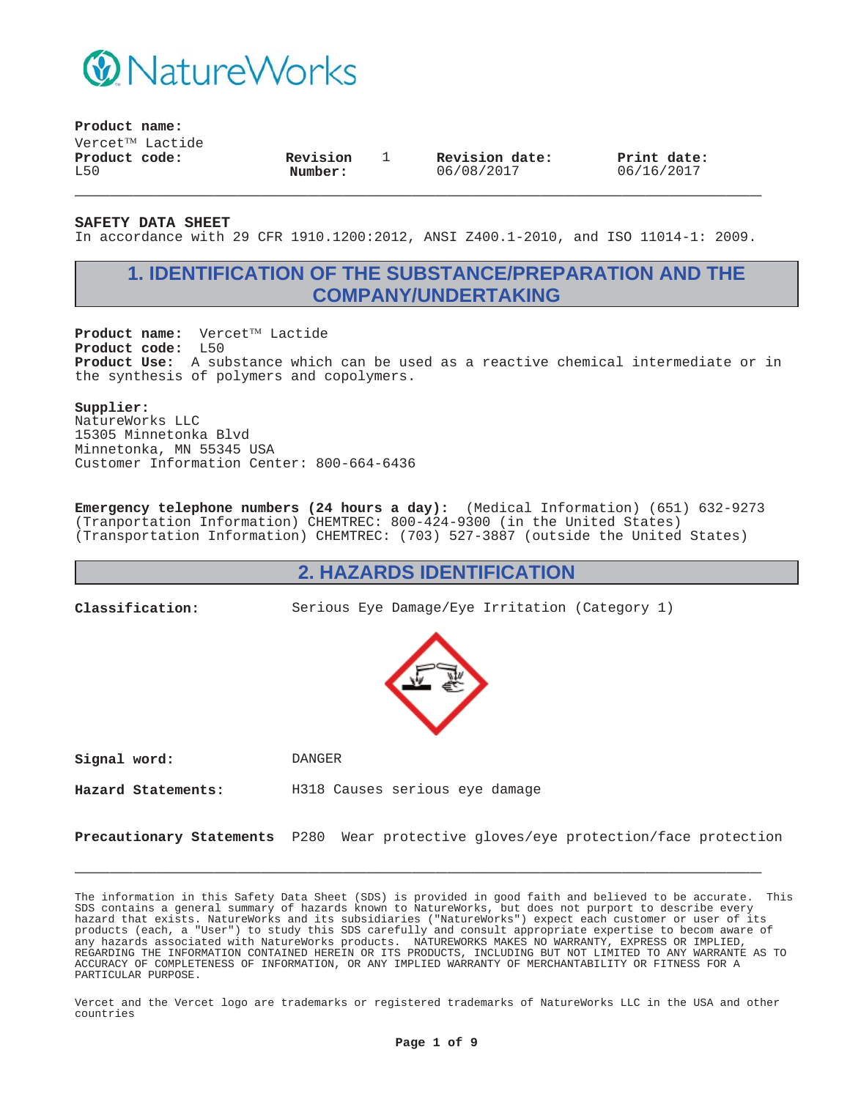

**Product name:**

 $V$ ercet $^{TM}$  Lactide **Product code:** L50

**Revision Number:**

1 **Revision date:** 06/08/2017

**Print date:** 06/16/2017

**SAFETY DATA SHEET**

In accordance with 29 CFR 1910.1200:2012, ANSI Z400.1-2010, and ISO 11014-1: 2009.

**\_\_\_\_\_\_\_\_\_\_\_\_\_\_\_\_\_\_\_\_\_\_\_\_\_\_\_\_\_\_\_\_\_\_\_\_\_\_\_\_\_\_\_\_\_\_\_\_\_\_\_\_\_\_\_\_\_\_\_**

# **1. IDENTIFICATION OF THE SUBSTANCE/PREPARATION AND THE COMPANY/UNDERTAKING**

Product name: Vercet™ Lactide **Product code:** L50 **Product Use:** A substance which can be used as a reactive chemical intermediate or in the synthesis of polymers and copolymers.

### **Supplier:**

NatureWorks LLC 15305 Minnetonka Blvd Minnetonka, MN 55345 USA Customer Information Center: 800-664-6436

**Emergency telephone numbers (24 hours a day):** (Medical Information) (651) 632-9273 (Tranportation Information) CHEMTREC: 800-424-9300 (in the United States) (Transportation Information) CHEMTREC: (703) 527-3887 (outside the United States)

### **2. HAZARDS IDENTIFICATION**

**Classification:** Serious Eye Damage/Eye Irritation (Category 1)



**Signal word:** DANGER

**Hazard Statements:** H318 Causes serious eye damage

**Precautionary Statements** P280 Wear protective gloves/eye protection/face protection

**\_\_\_\_\_\_\_\_\_\_\_\_\_\_\_\_\_\_\_\_\_\_\_\_\_\_\_\_\_\_\_\_\_\_\_\_\_\_\_\_\_\_\_\_\_\_\_\_\_\_\_\_\_\_\_\_\_\_\_**

The information in this Safety Data Sheet (SDS) is provided in good faith and believed to be accurate. This SDS contains a general summary of hazards known to NatureWorks, but does not purport to describe every hazard that exists. NatureWorks and its subsidiaries ("NatureWorks") expect each customer or user of its products (each, a "User") to study this SDS carefully and consult appropriate expertise to becom aware of any hazards associated with NatureWorks products. NATUREWORKS MAKES NO WARRANTY, EXPRESS OR IMPLIED, REGARDING THE INFORMATION CONTAINED HEREIN OR ITS PRODUCTS, INCLUDING BUT NOT LIMITED TO ANY WARRANTE AS TO ACCURACY OF COMPLETENESS OF INFORMATION, OR ANY IMPLIED WARRANTY OF MERCHANTABILITY OR FITNESS FOR A PARTICULAR PURPOSE.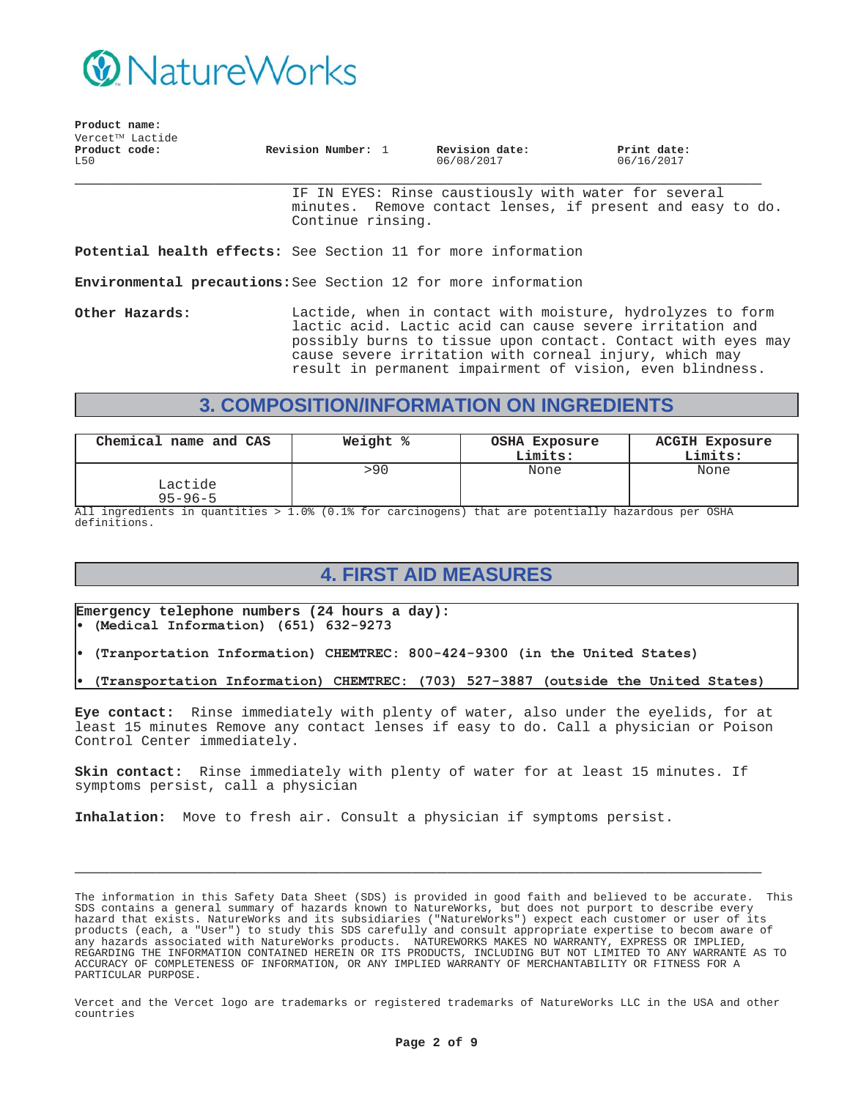

| riouuct name: |                 |                    |                |             |
|---------------|-----------------|--------------------|----------------|-------------|
|               | Vercet™ Lactide |                    |                |             |
| Product code: |                 | Revision Number: 1 | Revision date: | Print date: |
| L50           |                 |                    | 06/08/2017     | 06/16/2017  |
|               |                 |                    |                |             |
|               |                 |                    |                |             |

IF IN EYES: Rinse caustiously with water for several minutes. Remove contact lenses, if present and easy to do. Continue rinsing.

**Potential health effects:** See Section 11 for more information

**Environmental precautions:**See Section 12 for more information

**Product name:**

**Other Hazards:** Lactide, when in contact with moisture, hydrolyzes to form lactic acid. Lactic acid can cause severe irritation and possibly burns to tissue upon contact. Contact with eyes may cause severe irritation with corneal injury, which may result in permanent impairment of vision, even blindness.

# **3. COMPOSITION/INFORMATION ON INGREDIENTS**

| Chemical name and CAS    | Weight % | OSHA Exposure<br>Limits: | <b>ACGIH Exposure</b><br>Limits: |
|--------------------------|----------|--------------------------|----------------------------------|
| Lactide<br>$95 - 96 - 5$ | >90      | None                     | None                             |

All ingredients in quantities > 1.0% (0.1% for carcinogens) that are potentially hazardous per OSHA definitions.

# **4. FIRST AID MEASURES**

**Emergency telephone numbers (24 hours a day):** (Medical Information) (651) 632-9273

- (Tranportation Information) CHEMTREC: 800-424-9300 (in the United States)
- (Transportation Information) CHEMTREC: (703) 527-3887 (outside the United States)

**Eye contact:** Rinse immediately with plenty of water, also under the eyelids, for at least 15 minutes Remove any contact lenses if easy to do. Call a physician or Poison Control Center immediately.

**Skin contact:** Rinse immediately with plenty of water for at least 15 minutes. If symptoms persist, call a physician

**\_\_\_\_\_\_\_\_\_\_\_\_\_\_\_\_\_\_\_\_\_\_\_\_\_\_\_\_\_\_\_\_\_\_\_\_\_\_\_\_\_\_\_\_\_\_\_\_\_\_\_\_\_\_\_\_\_\_\_**

**Inhalation:** Move to fresh air. Consult a physician if symptoms persist.

The information in this Safety Data Sheet (SDS) is provided in good faith and believed to be accurate. This SDS contains a general summary of hazards known to NatureWorks, but does not purport to describe every hazard that exists. NatureWorks and its subsidiaries ("NatureWorks") expect each customer or user of its products (each, a "User") to study this SDS carefully and consult appropriate expertise to becom aware of any hazards associated with NatureWorks products. NATUREWORKS MAKES NO WARRANTY, EXPRESS OR IMPLIED, REGARDING THE INFORMATION CONTAINED HEREIN OR ITS PRODUCTS, INCLUDING BUT NOT LIMITED TO ANY WARRANTE AS TO ACCURACY OF COMPLETENESS OF INFORMATION, OR ANY IMPLIED WARRANTY OF MERCHANTABILITY OR FITNESS FOR A PARTICULAR PURPOSE.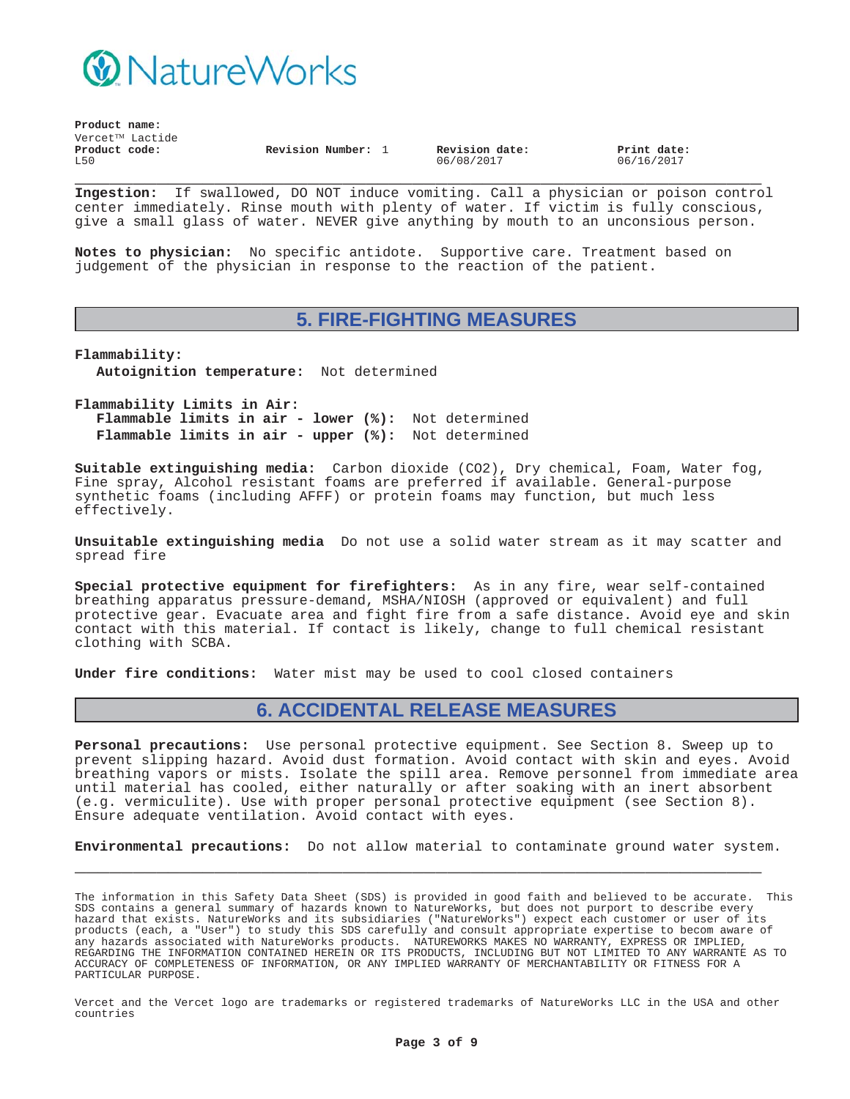

| Product name: |                        |                    |  |                |             |  |
|---------------|------------------------|--------------------|--|----------------|-------------|--|
|               | $V$ ercet $TM$ Lactide |                    |  |                |             |  |
| Product code: |                        | Revision Number: 1 |  | Revision date: | Print date: |  |
| L50           |                        |                    |  | 06/08/2017     | 06/16/2017  |  |

**\_\_\_\_\_\_\_\_\_\_\_\_\_\_\_\_\_\_\_\_\_\_\_\_\_\_\_\_\_\_\_\_\_\_\_\_\_\_\_\_\_\_\_\_\_\_\_\_\_\_\_\_\_\_\_\_\_\_\_ Ingestion:** If swallowed, DO NOT induce vomiting. Call a physician or poison control center immediately. Rinse mouth with plenty of water. If victim is fully conscious, give a small glass of water. NEVER give anything by mouth to an unconsious person.

**Notes to physician:** No specific antidote. Supportive care. Treatment based on judgement of the physician in response to the reaction of the patient.

### **5. FIRE-FIGHTING MEASURES**

**Flammability: Autoignition temperature:** Not determined

**Flammability Limits in Air: Flammable limits in air - lower (%):** Not determined **Flammable limits in air - upper (%):** Not determined

**Suitable extinguishing media:** Carbon dioxide (CO2), Dry chemical, Foam, Water fog, Fine spray, Alcohol resistant foams are preferred if available. General-purpose synthetic foams (including AFFF) or protein foams may function, but much less effectively.

**Unsuitable extinguishing media** Do not use a solid water stream as it may scatter and spread fire

**Special protective equipment for firefighters:** As in any fire, wear self-contained breathing apparatus pressure-demand, MSHA/NIOSH (approved or equivalent) and full protective gear. Evacuate area and fight fire from a safe distance. Avoid eye and skin contact with this material. If contact is likely, change to full chemical resistant clothing with SCBA.

**Under fire conditions:** Water mist may be used to cool closed containers

## **6. ACCIDENTAL RELEASE MEASURES**

**Personal precautions:** Use personal protective equipment. See Section 8. Sweep up to prevent slipping hazard. Avoid dust formation. Avoid contact with skin and eyes. Avoid breathing vapors or mists. Isolate the spill area. Remove personnel from immediate area until material has cooled, either naturally or after soaking with an inert absorbent (e.g. vermiculite). Use with proper personal protective equipment (see Section 8). Ensure adequate ventilation. Avoid contact with eyes.

**Environmental precautions:** Do not allow material to contaminate ground water system.

**\_\_\_\_\_\_\_\_\_\_\_\_\_\_\_\_\_\_\_\_\_\_\_\_\_\_\_\_\_\_\_\_\_\_\_\_\_\_\_\_\_\_\_\_\_\_\_\_\_\_\_\_\_\_\_\_\_\_\_**

The information in this Safety Data Sheet (SDS) is provided in good faith and believed to be accurate. This SDS contains a general summary of hazards known to NatureWorks, but does not purport to describe every hazard that exists. NatureWorks and its subsidiaries ("NatureWorks") expect each customer or user of its products (each, a "User") to study this SDS carefully and consult appropriate expertise to becom aware of any hazards associated with NatureWorks products. NATUREWORKS MAKES NO WARRANTY, EXPRESS OR IMPLIED, REGARDING THE INFORMATION CONTAINED HEREIN OR ITS PRODUCTS, INCLUDING BUT NOT LIMITED TO ANY WARRANTE AS TO ACCURACY OF COMPLETENESS OF INFORMATION, OR ANY IMPLIED WARRANTY OF MERCHANTABILITY OR FITNESS FOR A PARTICULAR PURPOSE.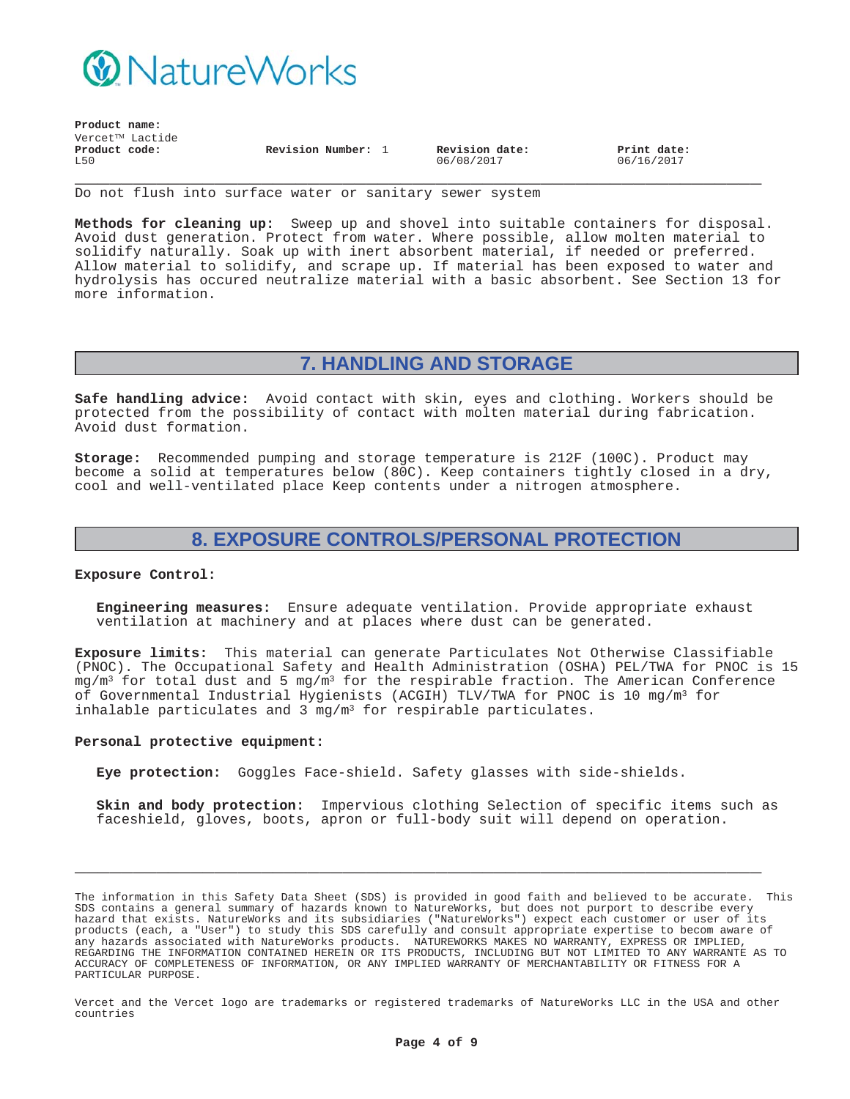

**Product name:**

| Frounce hame: |                 |                    |                |             |
|---------------|-----------------|--------------------|----------------|-------------|
|               | Vercet™ Lactide |                    |                |             |
| Product code: |                 | Revision Number: 1 | Revision date: | Print date: |
| L50           |                 |                    | 06/08/2017     | 06/16/2017  |

Do not flush into surface water or sanitary sewer system

**Methods for cleaning up:** Sweep up and shovel into suitable containers for disposal. Avoid dust generation. Protect from water. Where possible, allow molten material to solidify naturally. Soak up with inert absorbent material, if needed or preferred. Allow material to solidify, and scrape up. If material has been exposed to water and hydrolysis has occured neutralize material with a basic absorbent. See Section 13 for more information.

**\_\_\_\_\_\_\_\_\_\_\_\_\_\_\_\_\_\_\_\_\_\_\_\_\_\_\_\_\_\_\_\_\_\_\_\_\_\_\_\_\_\_\_\_\_\_\_\_\_\_\_\_\_\_\_\_\_\_\_**

## **7. HANDLING AND STORAGE**

**Safe handling advice:** Avoid contact with skin, eyes and clothing. Workers should be protected from the possibility of contact with molten material during fabrication. Avoid dust formation.

**Storage:** Recommended pumping and storage temperature is 212F (100C). Product may become a solid at temperatures below (80C). Keep containers tightly closed in a dry, cool and well-ventilated place Keep contents under a nitrogen atmosphere.

## **8. EXPOSURE CONTROLS/PERSONAL PROTECTION**

#### **Exposure Control:**

**Engineering measures:** Ensure adequate ventilation. Provide appropriate exhaust ventilation at machinery and at places where dust can be generated.

**Exposure limits:** This material can generate Particulates Not Otherwise Classifiable (PNOC). The Occupational Safety and Health Administration (OSHA) PEL/TWA for PNOC is 15  $mg/m<sup>3</sup>$  for total dust and 5 mg/m<sup>3</sup> for the respirable fraction. The American Conference of Governmental Industrial Hygienists (ACGIH) TLV/TWA for PNOC is 10 mg/m3 for inhalable particulates and  $3 \text{ mg/m}^3$  for respirable particulates.

### **Personal protective equipment:**

**Eye protection:** Goggles Face-shield. Safety glasses with side-shields.

**Skin and body protection:** Impervious clothing Selection of specific items such as faceshield, gloves, boots, apron or full-body suit will depend on operation.

The information in this Safety Data Sheet (SDS) is provided in good faith and believed to be accurate. This SDS contains a general summary of hazards known to NatureWorks, but does not purport to describe every hazard that exists. NatureWorks and its subsidiaries ("NatureWorks") expect each customer or user of its products (each, a "User") to study this SDS carefully and consult appropriate expertise to becom aware of any hazards associated with NatureWorks products. NATUREWORKS MAKES NO WARRANTY, EXPRESS OR IMPLIED, REGARDING THE INFORMATION CONTAINED HEREIN OR ITS PRODUCTS, INCLUDING BUT NOT LIMITED TO ANY WARRANTE AS TO ACCURACY OF COMPLETENESS OF INFORMATION, OR ANY IMPLIED WARRANTY OF MERCHANTABILITY OR FITNESS FOR A PARTICULAR PURPOSE.

**\_\_\_\_\_\_\_\_\_\_\_\_\_\_\_\_\_\_\_\_\_\_\_\_\_\_\_\_\_\_\_\_\_\_\_\_\_\_\_\_\_\_\_\_\_\_\_\_\_\_\_\_\_\_\_\_\_\_\_**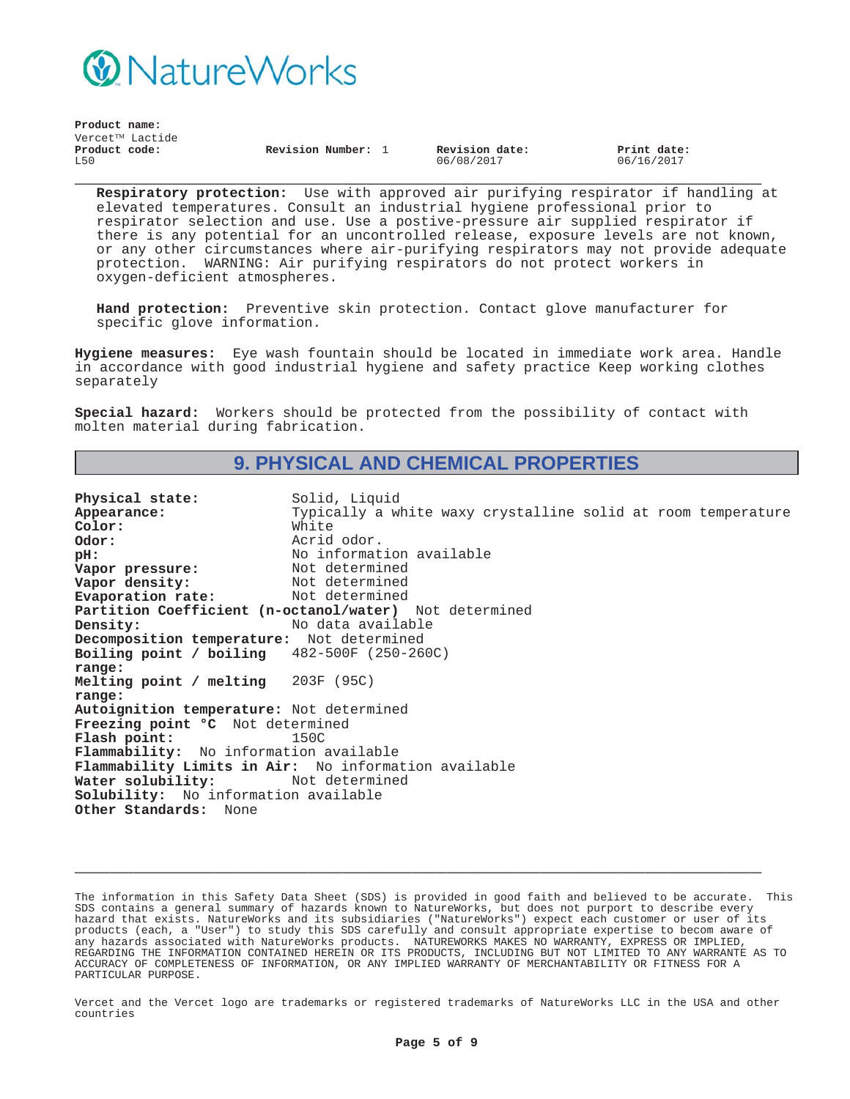

| Product name: |                              |                    |                |             |
|---------------|------------------------------|--------------------|----------------|-------------|
| Product code: | Vercet <sup>TM</sup> Lactide | Revision Number: 1 | Revision date: | Print date: |
| L50           |                              |                    | 06/08/2017     | 06/16/2017  |
|               |                              |                    |                |             |

**Respiratory protection:** Use with approved air purifying respirator if handling at elevated temperatures. Consult an industrial hygiene professional prior to respirator selection and use. Use a postive-pressure air supplied respirator if there is any potential for an uncontrolled release, exposure levels are not known, or any other circumstances where air-purifying respirators may not provide adequate protection. WARNING: Air purifying respirators do not protect workers in oxygen-deficient atmospheres.

**Hand protection:** Preventive skin protection. Contact glove manufacturer for specific glove information.

**Hygiene measures:** Eye wash fountain should be located in immediate work area. Handle in accordance with good industrial hygiene and safety practice Keep working clothes separately

**Special hazard:** Workers should be protected from the possibility of contact with molten material during fabrication.

## **9. PHYSICAL AND CHEMICAL PROPERTIES**

**Physical state:** Solid, Liquid Appearance: Typically a white waxy crystalline solid at room temperature<br> **Color:** White  $Color:$ **Odor:** Acrid odor.<br> **PH:** No informat No information available<br>Not determined **Vapor pressure:**<br>Vapor density: **Vapor density:** Not determined **Evaporation rate: Partition Coefficient (n-octanol/water)** Not determined **Density:** No data available **Decomposition temperature:** Not determined **Boiling point / boiling range:** 482-500F (250-260C) **Melting point / melting range:** 203F (95C) **Autoignition temperature:** Not determined **Freezing point °C** Not determined **Flash point: Flammability:** No information available **Flammability Limits in Air:** No information available **Water solubility: Solubility:** No information available **Other Standards:** None

**\_\_\_\_\_\_\_\_\_\_\_\_\_\_\_\_\_\_\_\_\_\_\_\_\_\_\_\_\_\_\_\_\_\_\_\_\_\_\_\_\_\_\_\_\_\_\_\_\_\_\_\_\_\_\_\_\_\_\_**

The information in this Safety Data Sheet (SDS) is provided in good faith and believed to be accurate. This SDS contains a general summary of hazards known to NatureWorks, but does not purport to describe every hazard that exists. NatureWorks and its subsidiaries ("NatureWorks") expect each customer or user of its products (each, a "User") to study this SDS carefully and consult appropriate expertise to becom aware of any hazards associated with NatureWorks products. NATUREWORKS MAKES NO WARRANTY, EXPRESS OR IMPLIED, REGARDING THE INFORMATION CONTAINED HEREIN OR ITS PRODUCTS, INCLUDING BUT NOT LIMITED TO ANY WARRANTE AS TO ACCURACY OF COMPLETENESS OF INFORMATION, OR ANY IMPLIED WARRANTY OF MERCHANTABILITY OR FITNESS FOR A PARTICULAR PURPOSE.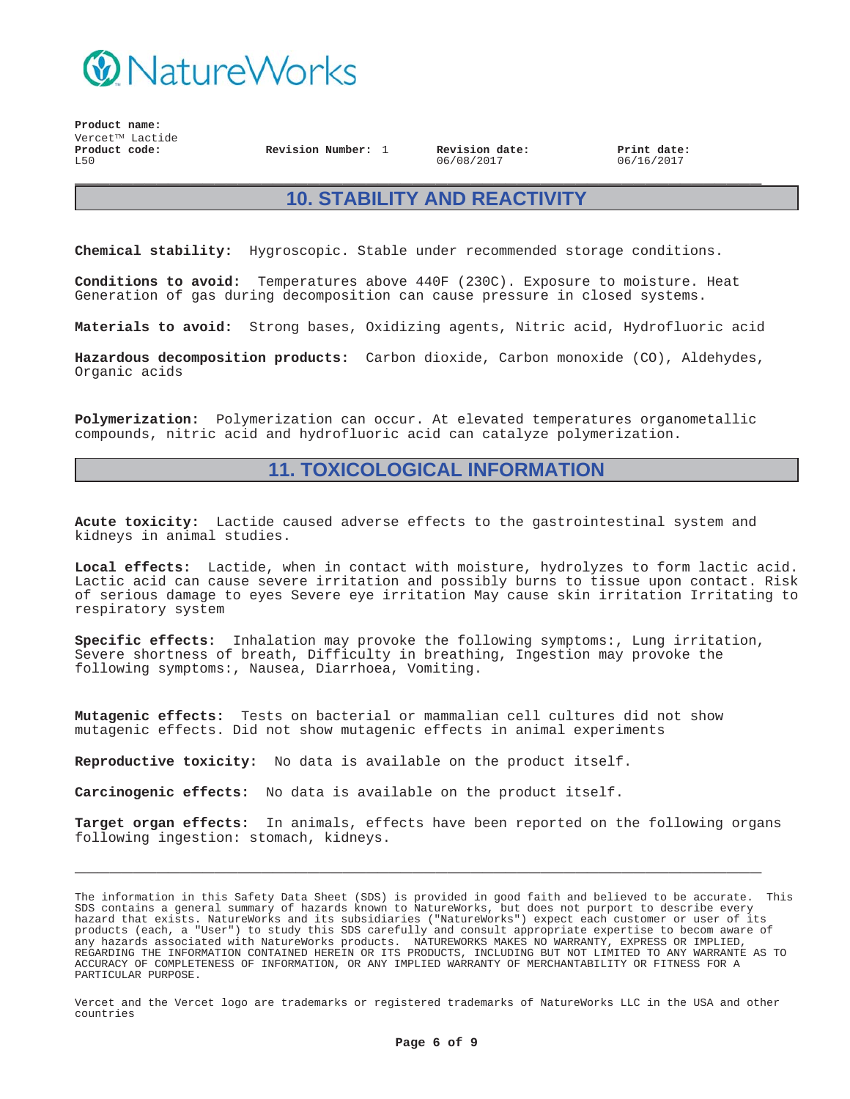

**Revision Number:** 1 **Revision date:**

06/08/2017

**Print date:** 06/16/2017

# **10. STABILITY AND REACTIVITY**

**\_\_\_\_\_\_\_\_\_\_\_\_\_\_\_\_\_\_\_\_\_\_\_\_\_\_\_\_\_\_\_\_\_\_\_\_\_\_\_\_\_\_\_\_\_\_\_\_\_\_\_\_\_\_\_\_\_\_\_**

**Chemical stability:** Hygroscopic. Stable under recommended storage conditions.

**Conditions to avoid:** Temperatures above 440F (230C). Exposure to moisture. Heat Generation of gas during decomposition can cause pressure in closed systems.

**Materials to avoid:** Strong bases, Oxidizing agents, Nitric acid, Hydrofluoric acid

**Hazardous decomposition products:** Carbon dioxide, Carbon monoxide (CO), Aldehydes, Organic acids

**Polymerization:** Polymerization can occur. At elevated temperatures organometallic compounds, nitric acid and hydrofluoric acid can catalyze polymerization.

## **11. TOXICOLOGICAL INFORMATION**

**Acute toxicity:** Lactide caused adverse effects to the gastrointestinal system and kidneys in animal studies.

**Local effects:** Lactide, when in contact with moisture, hydrolyzes to form lactic acid. Lactic acid can cause severe irritation and possibly burns to tissue upon contact. Risk of serious damage to eyes Severe eye irritation May cause skin irritation Irritating to respiratory system

**Specific effects:** Inhalation may provoke the following symptoms:, Lung irritation, Severe shortness of breath, Difficulty in breathing, Ingestion may provoke the following symptoms:, Nausea, Diarrhoea, Vomiting.

**Mutagenic effects:** Tests on bacterial or mammalian cell cultures did not show mutagenic effects. Did not show mutagenic effects in animal experiments

**Reproductive toxicity:** No data is available on the product itself.

**Carcinogenic effects:** No data is available on the product itself.

**Target organ effects:** In animals, effects have been reported on the following organs following ingestion: stomach, kidneys.

**\_\_\_\_\_\_\_\_\_\_\_\_\_\_\_\_\_\_\_\_\_\_\_\_\_\_\_\_\_\_\_\_\_\_\_\_\_\_\_\_\_\_\_\_\_\_\_\_\_\_\_\_\_\_\_\_\_\_\_**

The information in this Safety Data Sheet (SDS) is provided in good faith and believed to be accurate. This SDS contains a general summary of hazards known to NatureWorks, but does not purport to describe every hazard that exists. NatureWorks and its subsidiaries ("NatureWorks") expect each customer or user of its products (each, a "User") to study this SDS carefully and consult appropriate expertise to becom aware of any hazards associated with NatureWorks products. NATUREWORKS MAKES NO WARRANTY, EXPRESS OR IMPLIED, REGARDING THE INFORMATION CONTAINED HEREIN OR ITS PRODUCTS, INCLUDING BUT NOT LIMITED TO ANY WARRANTE AS TO ACCURACY OF COMPLETENESS OF INFORMATION, OR ANY IMPLIED WARRANTY OF MERCHANTABILITY OR FITNESS FOR A PARTICULAR PURPOSE.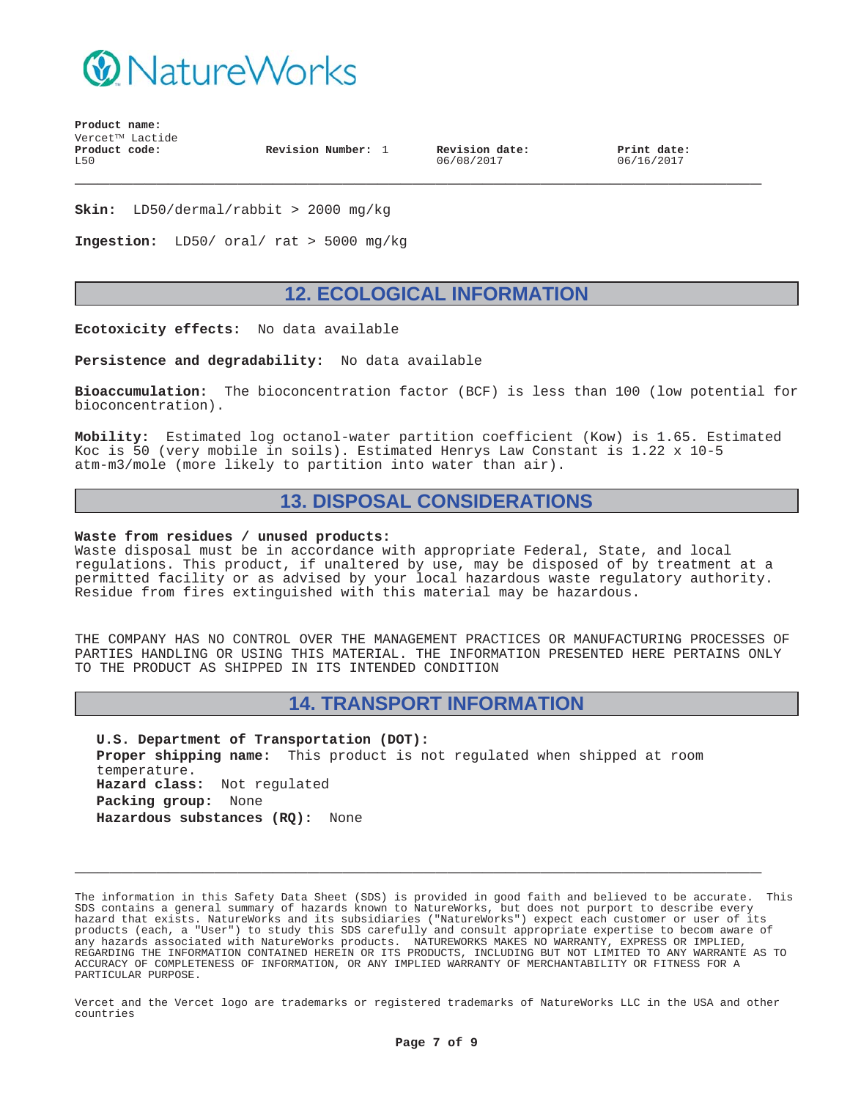

**Revision Number:** 1 **Revision date:**

06/08/2017

**Print date:** 06/16/2017

**Skin:** LD50/dermal/rabbit > 2000 mg/kg

**Ingestion:** LD50/ oral/ rat > 5000 mg/kg

## **12. ECOLOGICAL INFORMATION**

**\_\_\_\_\_\_\_\_\_\_\_\_\_\_\_\_\_\_\_\_\_\_\_\_\_\_\_\_\_\_\_\_\_\_\_\_\_\_\_\_\_\_\_\_\_\_\_\_\_\_\_\_\_\_\_\_\_\_\_**

**Ecotoxicity effects:** No data available

**Persistence and degradability:** No data available

**Bioaccumulation:** The bioconcentration factor (BCF) is less than 100 (low potential for bioconcentration).

**Mobility:** Estimated log octanol-water partition coefficient (Kow) is 1.65. Estimated Koc is 50 (very mobile in soils). Estimated Henrys Law Constant is 1.22 x 10-5 atm-m3/mole (more likely to partition into water than air).

## **13. DISPOSAL CONSIDERATIONS**

### **Waste from residues / unused products:**

Waste disposal must be in accordance with appropriate Federal, State, and local regulations. This product, if unaltered by use, may be disposed of by treatment at a permitted facility or as advised by your local hazardous waste regulatory authority. Residue from fires extinguished with this material may be hazardous.

THE COMPANY HAS NO CONTROL OVER THE MANAGEMENT PRACTICES OR MANUFACTURING PROCESSES OF PARTIES HANDLING OR USING THIS MATERIAL. THE INFORMATION PRESENTED HERE PERTAINS ONLY TO THE PRODUCT AS SHIPPED IN ITS INTENDED CONDITION

## **14. TRANSPORT INFORMATION**

**U.S. Department of Transportation (DOT): Proper shipping name:** This product is not regulated when shipped at room temperature. **Hazard class:** Not regulated **Packing group:** None **Hazardous substances (RQ):** None

The information in this Safety Data Sheet (SDS) is provided in good faith and believed to be accurate. This SDS contains a general summary of hazards known to NatureWorks, but does not purport to describe every hazard that exists. NatureWorks and its subsidiaries ("NatureWorks") expect each customer or user of its products (each, a "User") to study this SDS carefully and consult appropriate expertise to becom aware of any hazards associated with NatureWorks products. NATUREWORKS MAKES NO WARRANTY, EXPRESS OR IMPLIED, REGARDING THE INFORMATION CONTAINED HEREIN OR ITS PRODUCTS, INCLUDING BUT NOT LIMITED TO ANY WARRANTE AS TO ACCURACY OF COMPLETENESS OF INFORMATION, OR ANY IMPLIED WARRANTY OF MERCHANTABILITY OR FITNESS FOR A PARTICULAR PURPOSE.

**\_\_\_\_\_\_\_\_\_\_\_\_\_\_\_\_\_\_\_\_\_\_\_\_\_\_\_\_\_\_\_\_\_\_\_\_\_\_\_\_\_\_\_\_\_\_\_\_\_\_\_\_\_\_\_\_\_\_\_**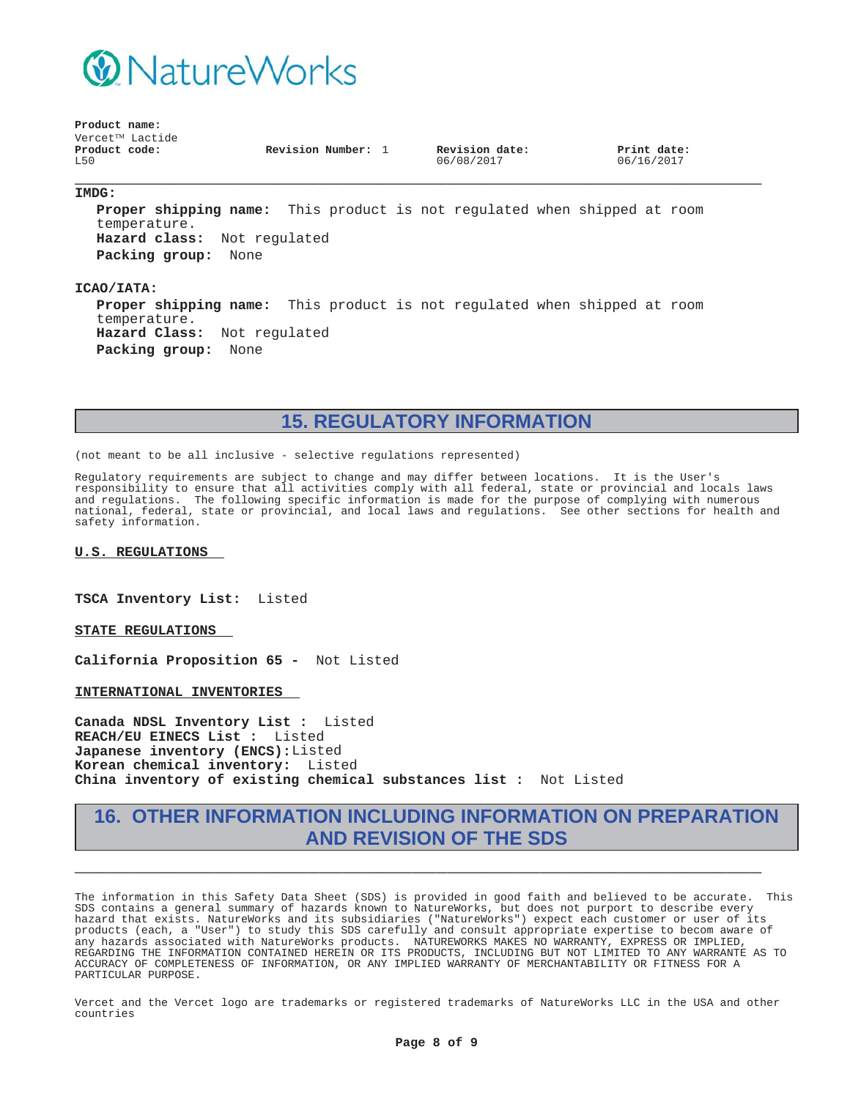

**Revision Number:** 1 **Revision date:**

06/08/2017

**Print date:** 06/16/2017

### **\_\_\_\_\_\_\_\_\_\_\_\_\_\_\_\_\_\_\_\_\_\_\_\_\_\_\_\_\_\_\_\_\_\_\_\_\_\_\_\_\_\_\_\_\_\_\_\_\_\_\_\_\_\_\_\_\_\_\_ IMDG:**

**Proper shipping name:** This product is not regulated when shipped at room temperature. **Hazard class:** Not regulated **Packing group:** None

### **ICAO/IATA:**

**Proper shipping name:** This product is not regulated when shipped at room temperature. **Hazard Class:** Not regulated **Packing group:** None

# **15. REGULATORY INFORMATION**

(not meant to be all inclusive - selective regulations represented)

Regulatory requirements are subject to change and may differ between locations. It is the User's responsibility to ensure that all activities comply with all federal, state or provincial and locals laws and regulations. The following specific information is made for the purpose of complying with numerous national, federal, state or provincial, and local laws and regulations. See other sections for health and safety information.

**U.S. REGULATIONS**

**TSCA Inventory List:** Listed

**STATE REGULATIONS**

**California Proposition 65 -** Not Listed

**INTERNATIONAL INVENTORIES**

**Canada NDSL Inventory List :** Listed **REACH/EU EINECS List :** Listed **Japanese inventory (ENCS):**Listed **Korean chemical inventory:** Listed **China inventory of existing chemical substances list :** Not Listed

# **16. OTHER INFORMATION INCLUDING INFORMATION ON PREPARATION AND REVISION OF THE SDS**

**\_\_\_\_\_\_\_\_\_\_\_\_\_\_\_\_\_\_\_\_\_\_\_\_\_\_\_\_\_\_\_\_\_\_\_\_\_\_\_\_\_\_\_\_\_\_\_\_\_\_\_\_\_\_\_\_\_\_\_**

The information in this Safety Data Sheet (SDS) is provided in good faith and believed to be accurate. This SDS contains a general summary of hazards known to NatureWorks, but does not purport to describe every hazard that exists. NatureWorks and its subsidiaries ("NatureWorks") expect each customer or user of its products (each, a "User") to study this SDS carefully and consult appropriate expertise to becom aware of any hazards associated with NatureWorks products. NATUREWORKS MAKES NO WARRANTY, EXPRESS OR IMPLIED, REGARDING THE INFORMATION CONTAINED HEREIN OR ITS PRODUCTS, INCLUDING BUT NOT LIMITED TO ANY WARRANTE AS TO ACCURACY OF COMPLETENESS OF INFORMATION, OR ANY IMPLIED WARRANTY OF MERCHANTABILITY OR FITNESS FOR A PARTICULAR PURPOSE.